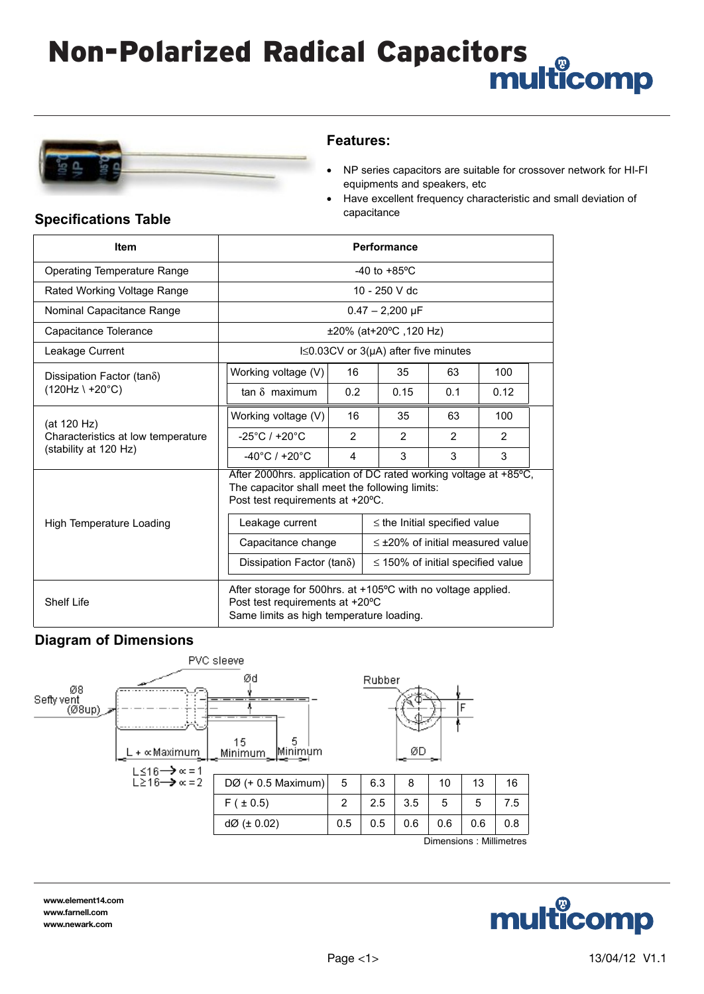# Non-Polarized Radical Capacitors



### **Features:**

- NP series capacitors are suitable for crossover network for HI-FI equipments and speakers, etc
- Have excellent frequency characteristic and small deviation of

| <b>Item</b>                                                                | <b>Performance</b>                                                                                                                                       |                |                                                                                                                                                                                           |                |                |
|----------------------------------------------------------------------------|----------------------------------------------------------------------------------------------------------------------------------------------------------|----------------|-------------------------------------------------------------------------------------------------------------------------------------------------------------------------------------------|----------------|----------------|
| Operating Temperature Range                                                | $-40$ to $+85^{\circ}$ C                                                                                                                                 |                |                                                                                                                                                                                           |                |                |
| Rated Working Voltage Range                                                | 10 - 250 V dc                                                                                                                                            |                |                                                                                                                                                                                           |                |                |
| Nominal Capacitance Range                                                  | $0.47 - 2,200 \,\mu F$                                                                                                                                   |                |                                                                                                                                                                                           |                |                |
| Capacitance Tolerance                                                      | ±20% (at+20°C, 120 Hz)                                                                                                                                   |                |                                                                                                                                                                                           |                |                |
| Leakage Current                                                            | $Is0.03CV$ or 3( $\mu$ A) after five minutes                                                                                                             |                |                                                                                                                                                                                           |                |                |
| Dissipation Factor (tan $\delta$ )<br>$(120Hz \mid +20^{\circ}C)$          | Working voltage (V)                                                                                                                                      | 16             | 35                                                                                                                                                                                        | 63             | 100            |
|                                                                            | $tan \delta$ maximum                                                                                                                                     | 0.2            | 0.15                                                                                                                                                                                      | 0.1            | 0.12           |
| (at 120 Hz)<br>Characteristics at low temperature<br>(stability at 120 Hz) | Working voltage (V)                                                                                                                                      | 16             | 35                                                                                                                                                                                        | 63             | 100            |
|                                                                            | $-25^{\circ}$ C / +20 $^{\circ}$ C                                                                                                                       | $\overline{2}$ | $\overline{2}$                                                                                                                                                                            | $\overline{2}$ | $\overline{2}$ |
|                                                                            | $-40^{\circ}$ C / +20 $^{\circ}$ C                                                                                                                       | 4              | 3                                                                                                                                                                                         | 3              | 3              |
| High Temperature Loading                                                   | The capacitor shall meet the following limits:<br>Post test requirements at +20°C.<br>Leakage current<br>Capacitance change<br>Dissipation Factor (tano) |                | After 2000hrs. application of DC rated working voltage at +85°C,<br>$\leq$ the Initial specified value<br>$\leq$ ±20% of initial measured value<br>$\leq$ 150% of initial specified value |                |                |
| <b>Shelf Life</b>                                                          | After storage for 500hrs. at +105°C with no voltage applied.<br>Post test requirements at +20°C<br>Same limits as high temperature loading.              |                |                                                                                                                                                                                           |                |                |

## **Specifications Table Capacitance Specifications Table**

### **Diagram of Dimensions**



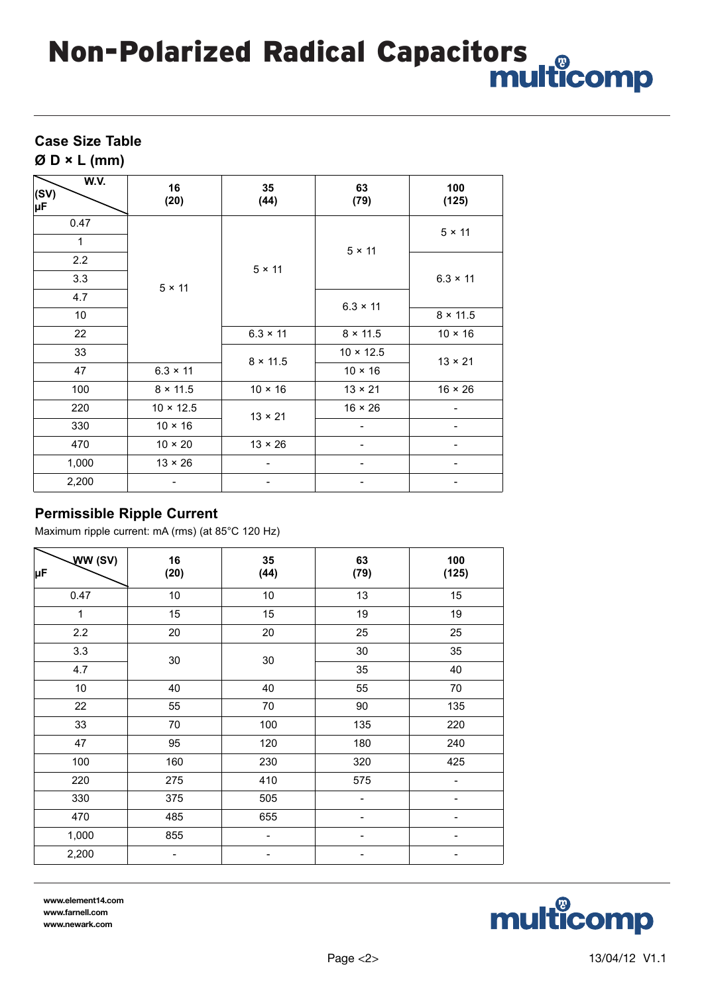# Non-Polarized Radical Capacitors

### **Case Size Table**

**Ø D × L (mm)**

| W.V.<br>(SV)<br>μF | 16<br>(20)       | 35<br>(44)      | 63<br>(79)       | 100<br>(125)    |
|--------------------|------------------|-----------------|------------------|-----------------|
| 0.47               |                  | $5 \times 11$   | $5 \times 11$    | $5 \times 11$   |
| $\mathbf{1}$       |                  |                 |                  |                 |
| 2.2                |                  |                 |                  | $6.3 \times 11$ |
| 3.3                | $5 \times 11$    |                 |                  |                 |
| 4.7                |                  |                 | $6.3 \times 11$  |                 |
| 10                 |                  |                 |                  | $8 \times 11.5$ |
| 22                 |                  | $6.3 \times 11$ | $8 \times 11.5$  | $10 \times 16$  |
| 33                 |                  |                 | $10 \times 12.5$ | $13 \times 21$  |
| 47                 | $6.3 \times 11$  | $8 \times 11.5$ | $10 \times 16$   |                 |
| 100                | $8 \times 11.5$  | $10 \times 16$  | $13 \times 21$   | $16 \times 26$  |
| 220                | $10 \times 12.5$ | $13 \times 21$  | $16 \times 26$   |                 |
| 330                | $10 \times 16$   |                 |                  |                 |
| 470                | $10 \times 20$   | $13 \times 26$  | -                |                 |
| 1,000              | $13 \times 26$   |                 | -                |                 |
| 2,200              |                  |                 | -                | -               |

### **Permissible Ripple Current**

Maximum ripple current: mA (rms) (at 85°C 120 Hz)

| WW(SV)<br>μF | 16<br>(20) | 35<br>(44) | 63<br>(79) | 100<br>(125)             |
|--------------|------------|------------|------------|--------------------------|
| 0.47         | 10         | 10         | 13         | 15                       |
| 1            | 15         | 15         | 19         | 19                       |
| 2.2          | 20         | 20         | 25         | 25                       |
| 3.3          | $30\,$     |            | 30         | 35                       |
| 4.7          |            | 30         | 35         | 40                       |
| 10           | 40         | 40         | 55         | 70                       |
| 22           | 55         | 70         | 90         | 135                      |
| 33           | 70         | 100        | 135        | 220                      |
| 47           | 95         | 120        | 180        | 240                      |
| 100          | 160        | 230        | 320        | 425                      |
| 220          | 275        | 410        | 575        | $\overline{\phantom{0}}$ |
| 330          | 375        | 505        |            |                          |
| 470          | 485        | 655        |            |                          |
| 1,000        | 855        |            |            |                          |
| 2,200        | -          | -          |            |                          |